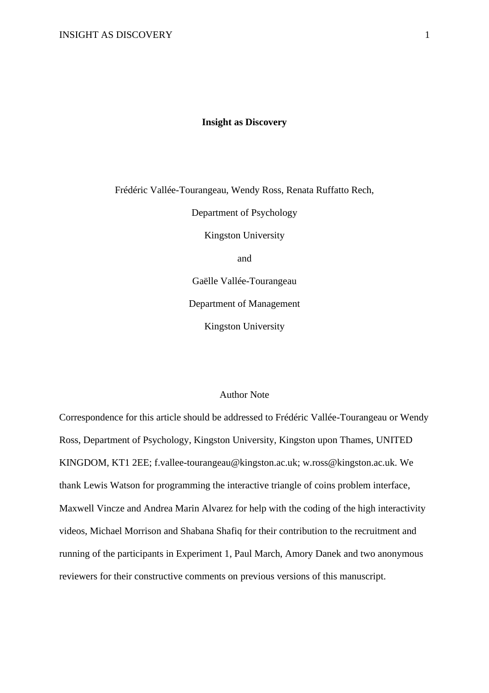### **Insight as Discovery**

Frédéric Vallée-Tourangeau, Wendy Ross, Renata Ruffatto Rech,

Department of Psychology

Kingston University

and

Gaëlle Vallée-Tourangeau

Department of Management

Kingston University

# Author Note

Correspondence for this article should be addressed to Frédéric Vallée-Tourangeau or Wendy Ross, Department of Psychology, Kingston University, Kingston upon Thames, UNITED KINGDOM, KT1 2EE; f.vallee-tourangeau@kingston.ac.uk; w.ross@kingston.ac.uk. We thank Lewis Watson for programming the interactive triangle of coins problem interface, Maxwell Vincze and Andrea Marin Alvarez for help with the coding of the high interactivity videos, Michael Morrison and Shabana Shafiq for their contribution to the recruitment and running of the participants in Experiment 1, Paul March, Amory Danek and two anonymous reviewers for their constructive comments on previous versions of this manuscript.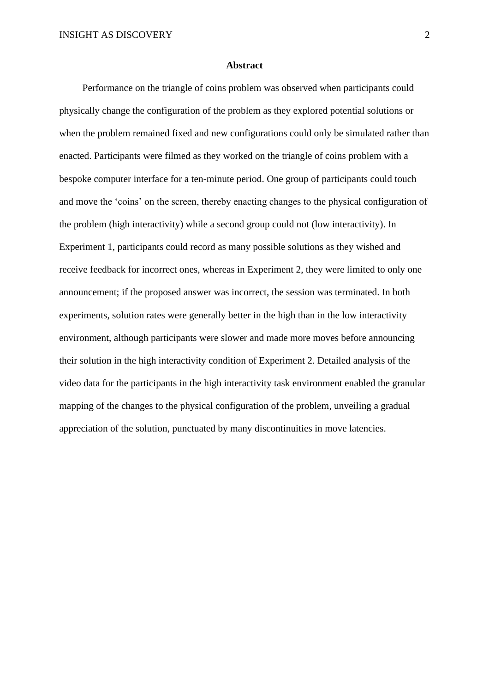#### **Abstract**

Performance on the triangle of coins problem was observed when participants could physically change the configuration of the problem as they explored potential solutions or when the problem remained fixed and new configurations could only be simulated rather than enacted. Participants were filmed as they worked on the triangle of coins problem with a bespoke computer interface for a ten-minute period. One group of participants could touch and move the 'coins' on the screen, thereby enacting changes to the physical configuration of the problem (high interactivity) while a second group could not (low interactivity). In Experiment 1, participants could record as many possible solutions as they wished and receive feedback for incorrect ones, whereas in Experiment 2, they were limited to only one announcement; if the proposed answer was incorrect, the session was terminated. In both experiments, solution rates were generally better in the high than in the low interactivity environment, although participants were slower and made more moves before announcing their solution in the high interactivity condition of Experiment 2. Detailed analysis of the video data for the participants in the high interactivity task environment enabled the granular mapping of the changes to the physical configuration of the problem, unveiling a gradual appreciation of the solution, punctuated by many discontinuities in move latencies.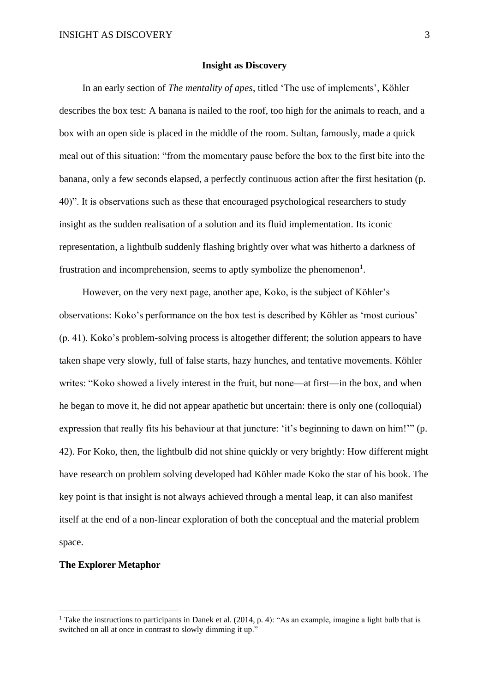#### **Insight as Discovery**

In an early section of *The mentality of apes*, titled 'The use of implements', Köhler describes the box test: A banana is nailed to the roof, too high for the animals to reach, and a box with an open side is placed in the middle of the room. Sultan, famously, made a quick meal out of this situation: "from the momentary pause before the box to the first bite into the banana, only a few seconds elapsed, a perfectly continuous action after the first hesitation (p. 40)". It is observations such as these that encouraged psychological researchers to study insight as the sudden realisation of a solution and its fluid implementation. Its iconic representation, a lightbulb suddenly flashing brightly over what was hitherto a darkness of frustration and incomprehension, seems to aptly symbolize the phenomenon<sup>1</sup>.

However, on the very next page, another ape, Koko, is the subject of Köhler's observations: Koko's performance on the box test is described by Köhler as 'most curious' (p. 41). Koko's problem-solving process is altogether different; the solution appears to have taken shape very slowly, full of false starts, hazy hunches, and tentative movements. Köhler writes: "Koko showed a lively interest in the fruit, but none—at first—in the box, and when he began to move it, he did not appear apathetic but uncertain: there is only one (colloquial) expression that really fits his behaviour at that juncture: 'it's beginning to dawn on him!'" (p. 42). For Koko, then, the lightbulb did not shine quickly or very brightly: How different might have research on problem solving developed had Köhler made Koko the star of his book. The key point is that insight is not always achieved through a mental leap, it can also manifest itself at the end of a non-linear exploration of both the conceptual and the material problem space.

# **The Explorer Metaphor**

<sup>&</sup>lt;sup>1</sup> Take the instructions to participants in Danek et al. (2014, p. 4): "As an example, imagine a light bulb that is switched on all at once in contrast to slowly dimming it up."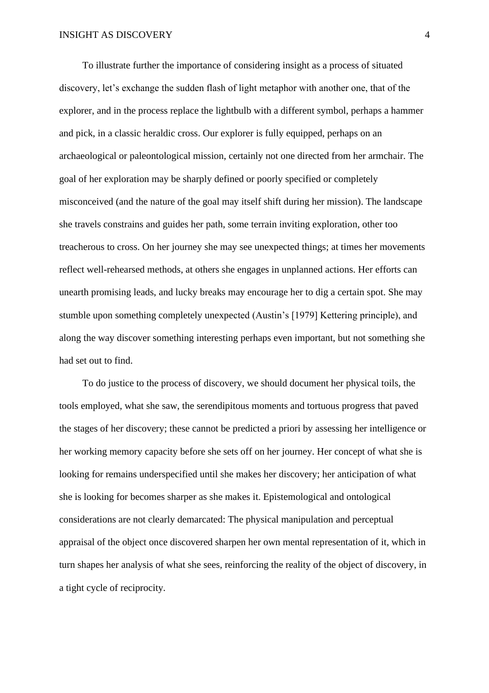To illustrate further the importance of considering insight as a process of situated discovery, let's exchange the sudden flash of light metaphor with another one, that of the explorer, and in the process replace the lightbulb with a different symbol, perhaps a hammer and pick, in a classic heraldic cross. Our explorer is fully equipped, perhaps on an archaeological or paleontological mission, certainly not one directed from her armchair. The goal of her exploration may be sharply defined or poorly specified or completely misconceived (and the nature of the goal may itself shift during her mission). The landscape she travels constrains and guides her path, some terrain inviting exploration, other too treacherous to cross. On her journey she may see unexpected things; at times her movements reflect well-rehearsed methods, at others she engages in unplanned actions. Her efforts can unearth promising leads, and lucky breaks may encourage her to dig a certain spot. She may stumble upon something completely unexpected (Austin's [1979] Kettering principle), and along the way discover something interesting perhaps even important, but not something she had set out to find.

To do justice to the process of discovery, we should document her physical toils, the tools employed, what she saw, the serendipitous moments and tortuous progress that paved the stages of her discovery; these cannot be predicted a priori by assessing her intelligence or her working memory capacity before she sets off on her journey. Her concept of what she is looking for remains underspecified until she makes her discovery; her anticipation of what she is looking for becomes sharper as she makes it. Epistemological and ontological considerations are not clearly demarcated: The physical manipulation and perceptual appraisal of the object once discovered sharpen her own mental representation of it, which in turn shapes her analysis of what she sees, reinforcing the reality of the object of discovery, in a tight cycle of reciprocity.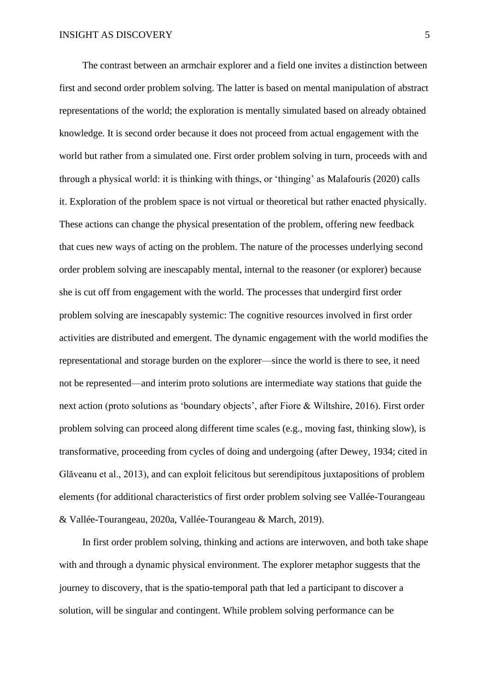The contrast between an armchair explorer and a field one invites a distinction between first and second order problem solving. The latter is based on mental manipulation of abstract representations of the world; the exploration is mentally simulated based on already obtained knowledge. It is second order because it does not proceed from actual engagement with the world but rather from a simulated one. First order problem solving in turn, proceeds with and through a physical world: it is thinking with things, or 'thinging' as Malafouris (2020) calls it. Exploration of the problem space is not virtual or theoretical but rather enacted physically. These actions can change the physical presentation of the problem, offering new feedback that cues new ways of acting on the problem. The nature of the processes underlying second order problem solving are inescapably mental, internal to the reasoner (or explorer) because she is cut off from engagement with the world. The processes that undergird first order problem solving are inescapably systemic: The cognitive resources involved in first order activities are distributed and emergent. The dynamic engagement with the world modifies the representational and storage burden on the explorer—since the world is there to see, it need not be represented—and interim proto solutions are intermediate way stations that guide the next action (proto solutions as 'boundary objects', after Fiore & Wiltshire, 2016). First order problem solving can proceed along different time scales (e.g., moving fast, thinking slow), is transformative, proceeding from cycles of doing and undergoing (after Dewey, 1934; cited in Glăveanu et al., 2013), and can exploit felicitous but serendipitous juxtapositions of problem elements (for additional characteristics of first order problem solving see Vallée-Tourangeau & Vallée-Tourangeau, 2020a, Vallée-Tourangeau & March, 2019).

In first order problem solving, thinking and actions are interwoven, and both take shape with and through a dynamic physical environment. The explorer metaphor suggests that the journey to discovery, that is the spatio-temporal path that led a participant to discover a solution, will be singular and contingent. While problem solving performance can be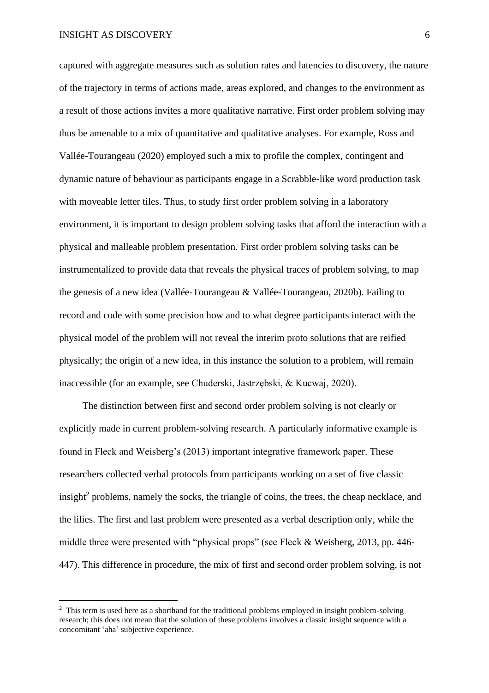captured with aggregate measures such as solution rates and latencies to discovery, the nature of the trajectory in terms of actions made, areas explored, and changes to the environment as a result of those actions invites a more qualitative narrative. First order problem solving may thus be amenable to a mix of quantitative and qualitative analyses. For example, Ross and Vallée-Tourangeau (2020) employed such a mix to profile the complex, contingent and dynamic nature of behaviour as participants engage in a Scrabble-like word production task with moveable letter tiles. Thus, to study first order problem solving in a laboratory environment, it is important to design problem solving tasks that afford the interaction with a physical and malleable problem presentation. First order problem solving tasks can be instrumentalized to provide data that reveals the physical traces of problem solving, to map the genesis of a new idea (Vallée-Tourangeau & Vallée-Tourangeau, 2020b). Failing to record and code with some precision how and to what degree participants interact with the physical model of the problem will not reveal the interim proto solutions that are reified physically; the origin of a new idea, in this instance the solution to a problem, will remain inaccessible (for an example, see Chuderski, Jastrzębski, & Kucwaj, 2020).

The distinction between first and second order problem solving is not clearly or explicitly made in current problem-solving research. A particularly informative example is found in Fleck and Weisberg's (2013) important integrative framework paper. These researchers collected verbal protocols from participants working on a set of five classic insight<sup>2</sup> problems, namely the socks, the triangle of coins, the trees, the cheap necklace, and the lilies. The first and last problem were presented as a verbal description only, while the middle three were presented with "physical props" (see Fleck & Weisberg, 2013, pp. 446- 447). This difference in procedure, the mix of first and second order problem solving, is not

<sup>&</sup>lt;sup>2</sup> This term is used here as a shorthand for the traditional problems employed in insight problem-solving research; this does not mean that the solution of these problems involves a classic insight sequence with a concomitant 'aha' subjective experience.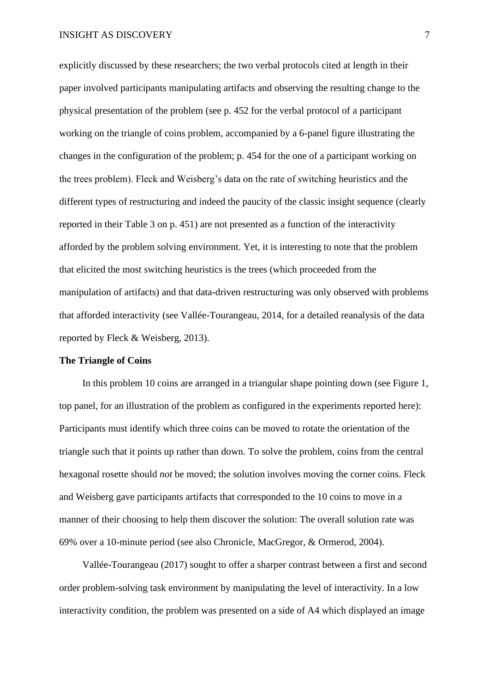explicitly discussed by these researchers; the two verbal protocols cited at length in their paper involved participants manipulating artifacts and observing the resulting change to the physical presentation of the problem (see p. 452 for the verbal protocol of a participant working on the triangle of coins problem, accompanied by a 6-panel figure illustrating the changes in the configuration of the problem; p. 454 for the one of a participant working on the trees problem). Fleck and Weisberg's data on the rate of switching heuristics and the different types of restructuring and indeed the paucity of the classic insight sequence (clearly reported in their Table 3 on p. 451) are not presented as a function of the interactivity afforded by the problem solving environment. Yet, it is interesting to note that the problem that elicited the most switching heuristics is the trees (which proceeded from the manipulation of artifacts) and that data-driven restructuring was only observed with problems that afforded interactivity (see Vallée-Tourangeau, 2014, for a detailed reanalysis of the data reported by Fleck & Weisberg, 2013).

## **The Triangle of Coins**

In this problem 10 coins are arranged in a triangular shape pointing down (see Figure 1, top panel, for an illustration of the problem as configured in the experiments reported here): Participants must identify which three coins can be moved to rotate the orientation of the triangle such that it points up rather than down. To solve the problem, coins from the central hexagonal rosette should *not* be moved; the solution involves moving the corner coins. Fleck and Weisberg gave participants artifacts that corresponded to the 10 coins to move in a manner of their choosing to help them discover the solution: The overall solution rate was 69% over a 10-minute period (see also Chronicle, MacGregor, & Ormerod, 2004).

Vallée-Tourangeau (2017) sought to offer a sharper contrast between a first and second order problem-solving task environment by manipulating the level of interactivity. In a low interactivity condition, the problem was presented on a side of A4 which displayed an image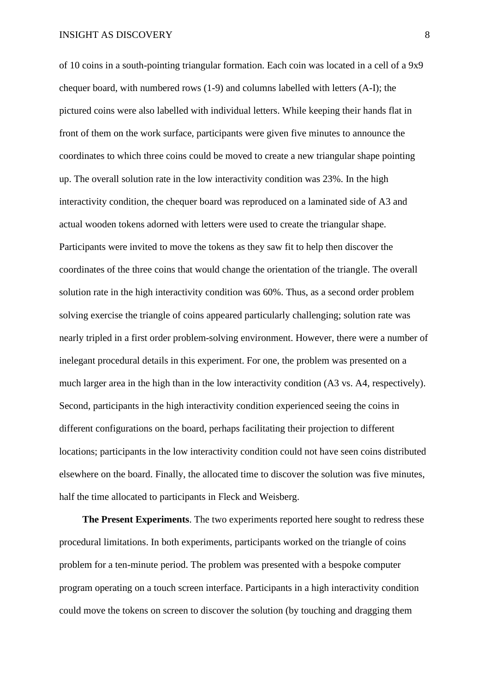of 10 coins in a south-pointing triangular formation. Each coin was located in a cell of a 9x9 chequer board, with numbered rows (1-9) and columns labelled with letters (A-I); the pictured coins were also labelled with individual letters. While keeping their hands flat in front of them on the work surface, participants were given five minutes to announce the coordinates to which three coins could be moved to create a new triangular shape pointing up. The overall solution rate in the low interactivity condition was 23%. In the high interactivity condition, the chequer board was reproduced on a laminated side of A3 and actual wooden tokens adorned with letters were used to create the triangular shape. Participants were invited to move the tokens as they saw fit to help then discover the coordinates of the three coins that would change the orientation of the triangle. The overall solution rate in the high interactivity condition was 60%. Thus, as a second order problem solving exercise the triangle of coins appeared particularly challenging; solution rate was nearly tripled in a first order problem-solving environment. However, there were a number of inelegant procedural details in this experiment. For one, the problem was presented on a much larger area in the high than in the low interactivity condition (A3 vs. A4, respectively). Second, participants in the high interactivity condition experienced seeing the coins in different configurations on the board, perhaps facilitating their projection to different locations; participants in the low interactivity condition could not have seen coins distributed elsewhere on the board. Finally, the allocated time to discover the solution was five minutes, half the time allocated to participants in Fleck and Weisberg.

**The Present Experiments**. The two experiments reported here sought to redress these procedural limitations. In both experiments, participants worked on the triangle of coins problem for a ten-minute period. The problem was presented with a bespoke computer program operating on a touch screen interface. Participants in a high interactivity condition could move the tokens on screen to discover the solution (by touching and dragging them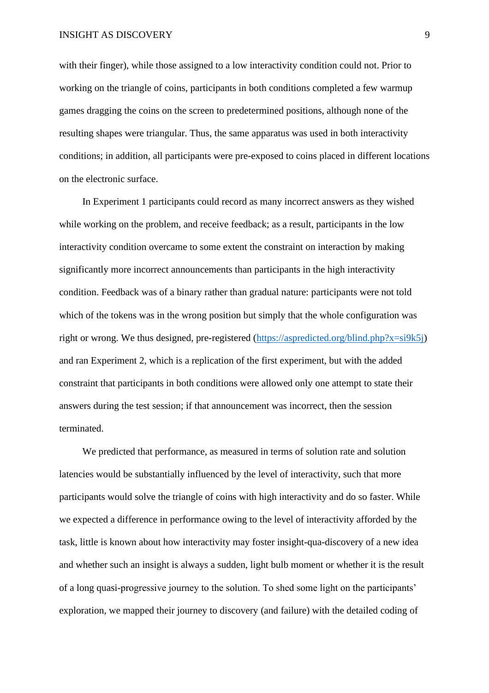with their finger), while those assigned to a low interactivity condition could not. Prior to working on the triangle of coins, participants in both conditions completed a few warmup games dragging the coins on the screen to predetermined positions, although none of the resulting shapes were triangular. Thus, the same apparatus was used in both interactivity conditions; in addition, all participants were pre-exposed to coins placed in different locations on the electronic surface.

In Experiment 1 participants could record as many incorrect answers as they wished while working on the problem, and receive feedback; as a result, participants in the low interactivity condition overcame to some extent the constraint on interaction by making significantly more incorrect announcements than participants in the high interactivity condition. Feedback was of a binary rather than gradual nature: participants were not told which of the tokens was in the wrong position but simply that the whole configuration was right or wrong. We thus designed, pre-registered [\(https://aspredicted.org/blind.php?x=si9k5j\)](https://aspredicted.org/blind.php?x=si9k5j) and ran Experiment 2, which is a replication of the first experiment, but with the added constraint that participants in both conditions were allowed only one attempt to state their answers during the test session; if that announcement was incorrect, then the session terminated.

We predicted that performance, as measured in terms of solution rate and solution latencies would be substantially influenced by the level of interactivity, such that more participants would solve the triangle of coins with high interactivity and do so faster. While we expected a difference in performance owing to the level of interactivity afforded by the task, little is known about how interactivity may foster insight-qua-discovery of a new idea and whether such an insight is always a sudden, light bulb moment or whether it is the result of a long quasi-progressive journey to the solution. To shed some light on the participants' exploration, we mapped their journey to discovery (and failure) with the detailed coding of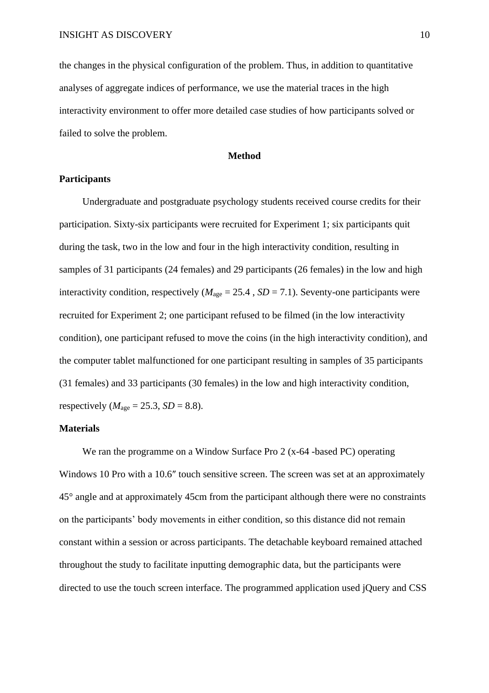the changes in the physical configuration of the problem. Thus, in addition to quantitative analyses of aggregate indices of performance, we use the material traces in the high interactivity environment to offer more detailed case studies of how participants solved or failed to solve the problem.

#### **Method**

# **Participants**

Undergraduate and postgraduate psychology students received course credits for their participation. Sixty-six participants were recruited for Experiment 1; six participants quit during the task, two in the low and four in the high interactivity condition, resulting in samples of 31 participants (24 females) and 29 participants (26 females) in the low and high interactivity condition, respectively  $(M<sub>age</sub> = 25.4, SD = 7.1)$ . Seventy-one participants were recruited for Experiment 2; one participant refused to be filmed (in the low interactivity condition), one participant refused to move the coins (in the high interactivity condition), and the computer tablet malfunctioned for one participant resulting in samples of 35 participants (31 females) and 33 participants (30 females) in the low and high interactivity condition, respectively ( $M<sub>age</sub> = 25.3$ ,  $SD = 8.8$ ).

# **Materials**

We ran the programme on a Window Surface Pro 2 (x-64 -based PC) operating Windows 10 Pro with a 10.6″ touch sensitive screen. The screen was set at an approximately 45° angle and at approximately 45cm from the participant although there were no constraints on the participants' body movements in either condition, so this distance did not remain constant within a session or across participants. The detachable keyboard remained attached throughout the study to facilitate inputting demographic data, but the participants were directed to use the touch screen interface. The programmed application used jQuery and CSS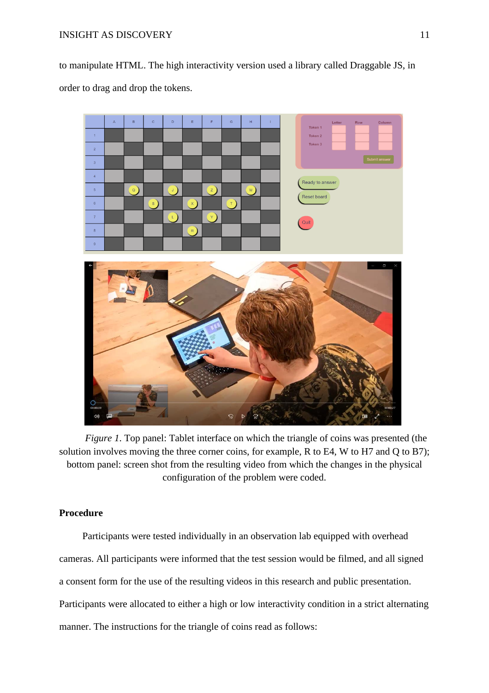to manipulate HTML. The high interactivity version used a library called Draggable JS, in order to drag and drop the tokens.



*Figure 1*. Top panel: Tablet interface on which the triangle of coins was presented (the solution involves moving the three corner coins, for example, R to E4, W to H7 and Q to B7); bottom panel: screen shot from the resulting video from which the changes in the physical configuration of the problem were coded.

# **Procedure**

Participants were tested individually in an observation lab equipped with overhead cameras. All participants were informed that the test session would be filmed, and all signed a consent form for the use of the resulting videos in this research and public presentation. Participants were allocated to either a high or low interactivity condition in a strict alternating manner. The instructions for the triangle of coins read as follows: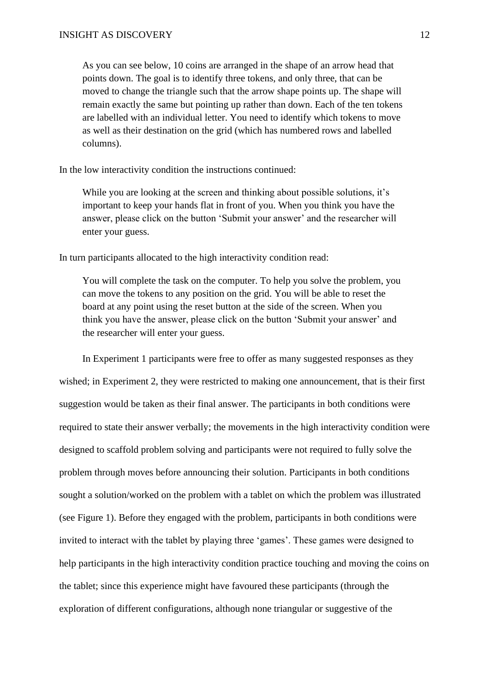As you can see below, 10 coins are arranged in the shape of an arrow head that points down. The goal is to identify three tokens, and only three, that can be moved to change the triangle such that the arrow shape points up. The shape will remain exactly the same but pointing up rather than down. Each of the ten tokens are labelled with an individual letter. You need to identify which tokens to move as well as their destination on the grid (which has numbered rows and labelled columns).

In the low interactivity condition the instructions continued:

While you are looking at the screen and thinking about possible solutions, it's important to keep your hands flat in front of you. When you think you have the answer, please click on the button 'Submit your answer' and the researcher will enter your guess.

In turn participants allocated to the high interactivity condition read:

You will complete the task on the computer. To help you solve the problem, you can move the tokens to any position on the grid. You will be able to reset the board at any point using the reset button at the side of the screen. When you think you have the answer, please click on the button 'Submit your answer' and the researcher will enter your guess.

In Experiment 1 participants were free to offer as many suggested responses as they wished; in Experiment 2, they were restricted to making one announcement, that is their first suggestion would be taken as their final answer. The participants in both conditions were required to state their answer verbally; the movements in the high interactivity condition were designed to scaffold problem solving and participants were not required to fully solve the problem through moves before announcing their solution. Participants in both conditions sought a solution/worked on the problem with a tablet on which the problem was illustrated (see Figure 1). Before they engaged with the problem, participants in both conditions were invited to interact with the tablet by playing three 'games'. These games were designed to help participants in the high interactivity condition practice touching and moving the coins on the tablet; since this experience might have favoured these participants (through the exploration of different configurations, although none triangular or suggestive of the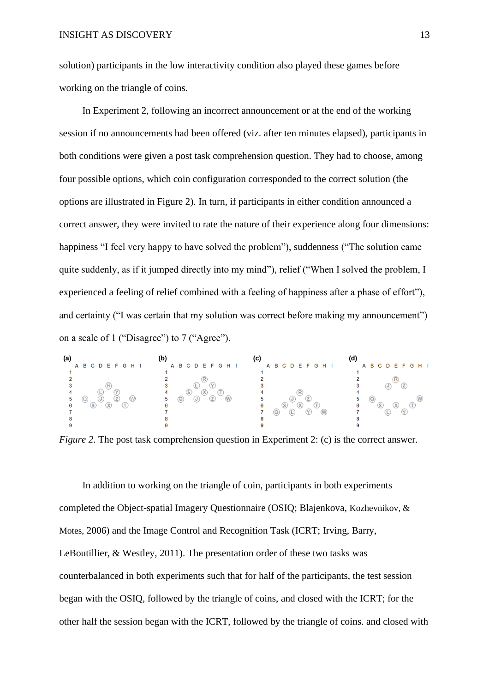solution) participants in the low interactivity condition also played these games before working on the triangle of coins.

In Experiment 2, following an incorrect announcement or at the end of the working session if no announcements had been offered (viz. after ten minutes elapsed), participants in both conditions were given a post task comprehension question. They had to choose, among four possible options, which coin configuration corresponded to the correct solution (the options are illustrated in Figure 2). In turn, if participants in either condition announced a correct answer, they were invited to rate the nature of their experience along four dimensions: happiness "I feel very happy to have solved the problem"), suddenness ("The solution came quite suddenly, as if it jumped directly into my mind"), relief ("When I solved the problem, I experienced a feeling of relief combined with a feeling of happiness after a phase of effort"), and certainty ("I was certain that my solution was correct before making my announcement") on a scale of 1 ("Disagree") to 7 ("Agree").

| (a) |                   | (b)               |                   |                   |
|-----|-------------------|-------------------|-------------------|-------------------|
|     | A B C D E F G H I | A B C D E F G H I | A B C D E F G H I | A B C D E F G H I |
|     |                   |                   |                   |                   |
|     |                   |                   |                   |                   |
|     |                   |                   |                   |                   |
|     |                   | (X)               |                   |                   |
|     |                   | ь                 |                   |                   |
|     | $\epsilon$        |                   |                   |                   |
|     |                   |                   |                   |                   |
|     |                   |                   |                   |                   |
|     |                   |                   |                   |                   |

*Figure 2.* The post task comprehension question in Experiment 2: (c) is the correct answer.

In addition to working on the triangle of coin, participants in both experiments completed the Object-spatial Imagery Questionnaire (OSIQ; Blajenkova, Kozhevnikov, & Motes, 2006) and the Image Control and Recognition Task (ICRT; Irving, Barry, LeBoutillier, & Westley, 2011). The presentation order of these two tasks was counterbalanced in both experiments such that for half of the participants, the test session began with the OSIQ, followed by the triangle of coins, and closed with the ICRT; for the other half the session began with the ICRT, followed by the triangle of coins. and closed with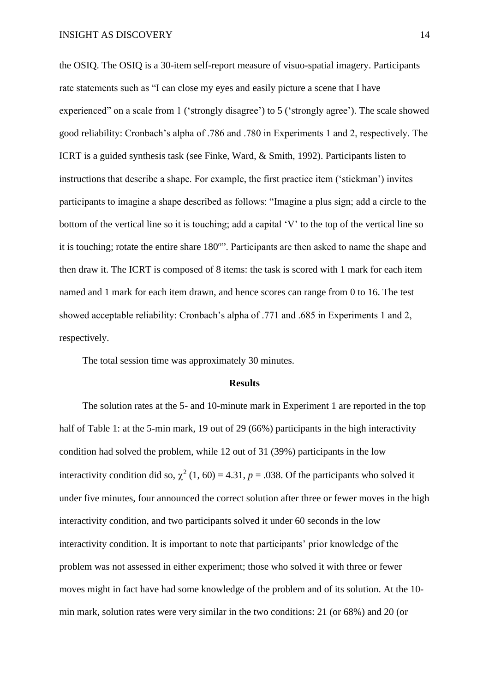the OSIQ. The OSIQ is a 30-item self-report measure of visuo-spatial imagery. Participants rate statements such as "I can close my eyes and easily picture a scene that I have experienced" on a scale from 1 ('strongly disagree') to 5 ('strongly agree'). The scale showed good reliability: Cronbach's alpha of .786 and .780 in Experiments 1 and 2, respectively. The ICRT is a guided synthesis task (see Finke, Ward, & Smith, 1992). Participants listen to instructions that describe a shape. For example, the first practice item ('stickman') invites participants to imagine a shape described as follows: "Imagine a plus sign; add a circle to the bottom of the vertical line so it is touching; add a capital 'V' to the top of the vertical line so it is touching; rotate the entire share 180°". Participants are then asked to name the shape and then draw it. The ICRT is composed of 8 items: the task is scored with 1 mark for each item named and 1 mark for each item drawn, and hence scores can range from 0 to 16. The test showed acceptable reliability: Cronbach's alpha of .771 and .685 in Experiments 1 and 2, respectively.

The total session time was approximately 30 minutes.

#### **Results**

The solution rates at the 5- and 10-minute mark in Experiment 1 are reported in the top half of Table 1: at the 5-min mark, 19 out of 29 (66%) participants in the high interactivity condition had solved the problem, while 12 out of 31 (39%) participants in the low interactivity condition did so,  $\chi^2$  (1, 60) = 4.31, *p* = .038. Of the participants who solved it under five minutes, four announced the correct solution after three or fewer moves in the high interactivity condition, and two participants solved it under 60 seconds in the low interactivity condition. It is important to note that participants' prior knowledge of the problem was not assessed in either experiment; those who solved it with three or fewer moves might in fact have had some knowledge of the problem and of its solution. At the 10 min mark, solution rates were very similar in the two conditions: 21 (or 68%) and 20 (or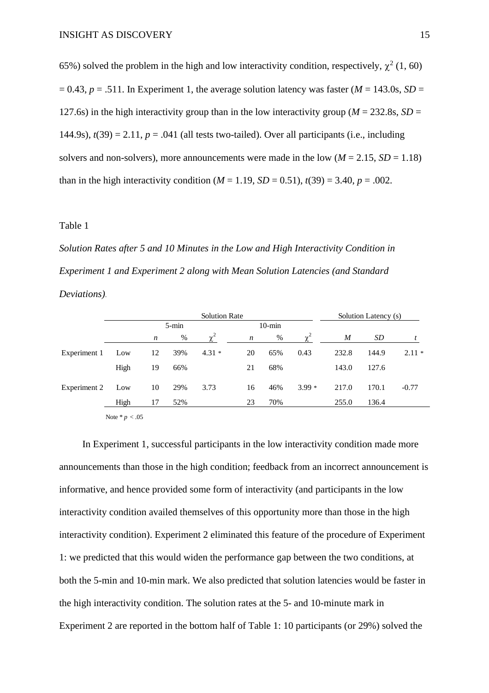65%) solved the problem in the high and low interactivity condition, respectively,  $\chi^2$  (1, 60)  $= 0.43$ ,  $p = .511$ . In Experiment 1, the average solution latency was faster ( $M = 143.0$ s,  $SD =$ 127.6s) in the high interactivity group than in the low interactivity group ( $M = 232.8$ s,  $SD =$ 144.9s),  $t(39) = 2.11$ ,  $p = .041$  (all tests two-tailed). Over all participants (i.e., including solvers and non-solvers), more announcements were made in the low  $(M = 2.15, SD = 1.18)$ than in the high interactivity condition ( $M = 1.19$ ,  $SD = 0.51$ ),  $t(39) = 3.40$ ,  $p = .002$ .

### Table 1

*Solution Rates after 5 and 10 Minutes in the Low and High Interactivity Condition in Experiment 1 and Experiment 2 along with Mean Solution Latencies (and Standard Deviations)*.

|              |                  | <b>Solution Rate</b> |           |          |                  | Solution Latency (s) |          |       |       |         |
|--------------|------------------|----------------------|-----------|----------|------------------|----------------------|----------|-------|-------|---------|
|              |                  |                      | $5 - min$ |          |                  | $10$ -min            |          |       |       |         |
|              |                  | $\boldsymbol{n}$     | $\%$      | $\chi^2$ | $\boldsymbol{n}$ | %                    | $\chi^2$ | M     | SD    |         |
| Experiment 1 | Low              | 12                   | 39%       | $4.31*$  | 20               | 65%                  | 0.43     | 232.8 | 144.9 | $2.11*$ |
|              | High             | 19                   | 66%       |          | 21               | 68%                  |          | 143.0 | 127.6 |         |
| Experiment 2 | Low              | 10                   | 29%       | 3.73     | 16               | 46%                  | $3.99*$  | 217.0 | 170.1 | $-0.77$ |
|              | High             | 17                   | 52%       |          | 23               | 70%                  |          | 255.0 | 136.4 |         |
|              | Note * $p < .05$ |                      |           |          |                  |                      |          |       |       |         |

In Experiment 1, successful participants in the low interactivity condition made more announcements than those in the high condition; feedback from an incorrect announcement is informative, and hence provided some form of interactivity (and participants in the low interactivity condition availed themselves of this opportunity more than those in the high interactivity condition). Experiment 2 eliminated this feature of the procedure of Experiment 1: we predicted that this would widen the performance gap between the two conditions, at both the 5-min and 10-min mark. We also predicted that solution latencies would be faster in the high interactivity condition. The solution rates at the 5- and 10-minute mark in Experiment 2 are reported in the bottom half of Table 1: 10 participants (or 29%) solved the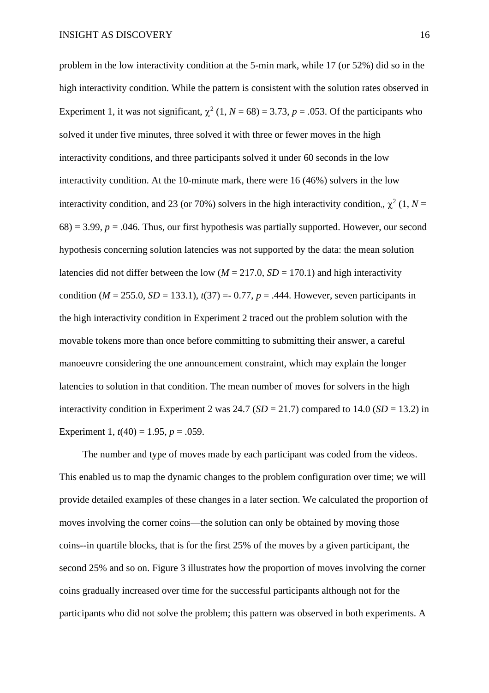problem in the low interactivity condition at the 5-min mark, while 17 (or 52%) did so in the high interactivity condition. While the pattern is consistent with the solution rates observed in Experiment 1, it was not significant,  $\chi^2$  (1, *N* = 68) = 3.73, *p* = .053. Of the participants who solved it under five minutes, three solved it with three or fewer moves in the high interactivity conditions, and three participants solved it under 60 seconds in the low interactivity condition. At the 10-minute mark, there were 16 (46%) solvers in the low interactivity condition, and 23 (or 70%) solvers in the high interactivity condition,,  $\chi^2$  (1, *N* =  $68$ ) = 3.99,  $p = 0.046$ . Thus, our first hypothesis was partially supported. However, our second hypothesis concerning solution latencies was not supported by the data: the mean solution latencies did not differ between the low ( $M = 217.0$ ,  $SD = 170.1$ ) and high interactivity condition ( $M = 255.0$ ,  $SD = 133.1$ ),  $t(37) = -0.77$ ,  $p = .444$ . However, seven participants in the high interactivity condition in Experiment 2 traced out the problem solution with the movable tokens more than once before committing to submitting their answer, a careful manoeuvre considering the one announcement constraint, which may explain the longer latencies to solution in that condition. The mean number of moves for solvers in the high interactivity condition in Experiment 2 was  $24.7$  (*SD* = 21.7) compared to 14.0 (*SD* = 13.2) in Experiment 1,  $t(40) = 1.95$ ,  $p = .059$ .

The number and type of moves made by each participant was coded from the videos. This enabled us to map the dynamic changes to the problem configuration over time; we will provide detailed examples of these changes in a later section. We calculated the proportion of moves involving the corner coins—the solution can only be obtained by moving those coins--in quartile blocks, that is for the first 25% of the moves by a given participant, the second 25% and so on. Figure 3 illustrates how the proportion of moves involving the corner coins gradually increased over time for the successful participants although not for the participants who did not solve the problem; this pattern was observed in both experiments. A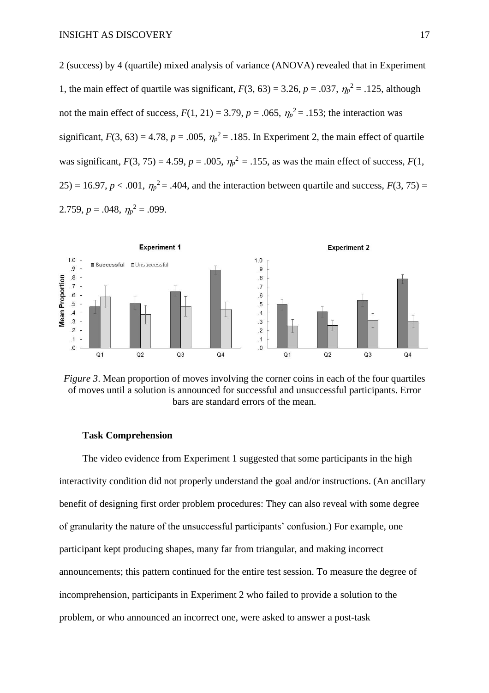2 (success) by 4 (quartile) mixed analysis of variance (ANOVA) revealed that in Experiment 1, the main effect of quartile was significant,  $F(3, 63) = 3.26$ ,  $p = .037$ ,  $\eta_p^2 = .125$ , although not the main effect of success,  $F(1, 21) = 3.79$ ,  $p = .065$ ,  $\eta_p^2 = .153$ ; the interaction was significant,  $F(3, 63) = 4.78$ ,  $p = .005$ ,  $\eta_p^2 = .185$ . In Experiment 2, the main effect of quartile was significant,  $F(3, 75) = 4.59$ ,  $p = .005$ ,  $\eta_p^2 = .155$ , as was the main effect of success,  $F(1, 5) = 4.59$  $25$ ) = 16.97,  $p < .001$ ,  $\eta_p^2$  = .404, and the interaction between quartile and success,  $F(3, 75)$  = 2.759,  $p = .048$ ,  $\eta_p^2 = .099$ .



*Figure 3*. Mean proportion of moves involving the corner coins in each of the four quartiles of moves until a solution is announced for successful and unsuccessful participants. Error bars are standard errors of the mean.

### **Task Comprehension**

The video evidence from Experiment 1 suggested that some participants in the high interactivity condition did not properly understand the goal and/or instructions. (An ancillary benefit of designing first order problem procedures: They can also reveal with some degree of granularity the nature of the unsuccessful participants' confusion.) For example, one participant kept producing shapes, many far from triangular, and making incorrect announcements; this pattern continued for the entire test session. To measure the degree of incomprehension, participants in Experiment 2 who failed to provide a solution to the problem, or who announced an incorrect one, were asked to answer a post-task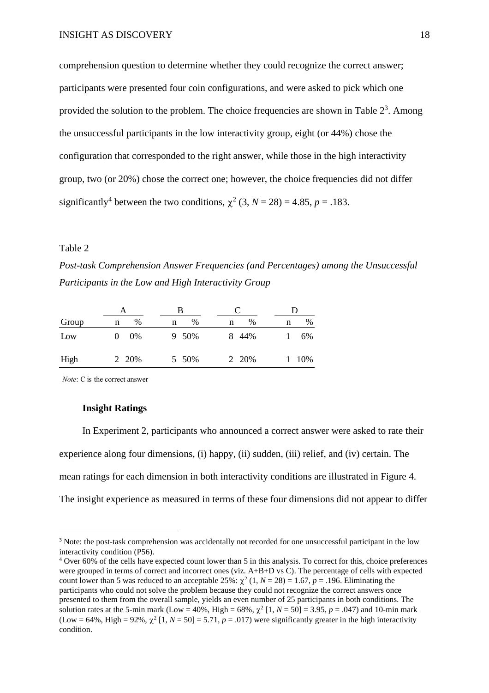comprehension question to determine whether they could recognize the correct answer; participants were presented four coin configurations, and were asked to pick which one provided the solution to the problem. The choice frequencies are shown in Table  $2<sup>3</sup>$ . Among the unsuccessful participants in the low interactivity group, eight (or 44%) chose the configuration that corresponded to the right answer, while those in the high interactivity group, two (or 20%) chose the correct one; however, the choice frequencies did not differ significantly<sup>4</sup> between the two conditions,  $\chi^2$  (3, *N* = 28) = 4.85, *p* = .183.

### Table 2

*Post-task Comprehension Answer Frequencies (and Percentages) among the Unsuccessful Participants in the Low and High Interactivity Group*

|       |        | В      |           |        |  |
|-------|--------|--------|-----------|--------|--|
| Group | %<br>n | %<br>n | $\%$<br>n | %<br>n |  |
| Low   | $0\%$  | 9 50%  | 8 44%     | 6%     |  |
| High  | 2 20%  | 5 50%  | 2 20%     | 10%    |  |

*Note*: C is the correct answer

### **Insight Ratings**

In Experiment 2, participants who announced a correct answer were asked to rate their experience along four dimensions, (i) happy, (ii) sudden, (iii) relief, and (iv) certain. The mean ratings for each dimension in both interactivity conditions are illustrated in Figure 4. The insight experience as measured in terms of these four dimensions did not appear to differ

<sup>&</sup>lt;sup>3</sup> Note: the post-task comprehension was accidentally not recorded for one unsuccessful participant in the low interactivity condition (P56).

<sup>4</sup> Over 60% of the cells have expected count lower than 5 in this analysis. To correct for this, choice preferences were grouped in terms of correct and incorrect ones (viz. A+B+D vs C). The percentage of cells with expected count lower than 5 was reduced to an acceptable  $25\%$ :  $\chi^2$  (1, *N* = 28) = 1.67, *p* = .196. Eliminating the participants who could not solve the problem because they could not recognize the correct answers once presented to them from the overall sample, yields an even number of 25 participants in both conditions. The solution rates at the 5-min mark (Low = 40%, High = 68%,  $\chi^2$  [1, *N* = 50] = 3.95, *p* = .047) and 10-min mark (Low = 64%, High = 92%,  $\chi^2$  [1,  $N = 50$ ] = 5.71,  $p = .017$ ) were significantly greater in the high interactivity condition.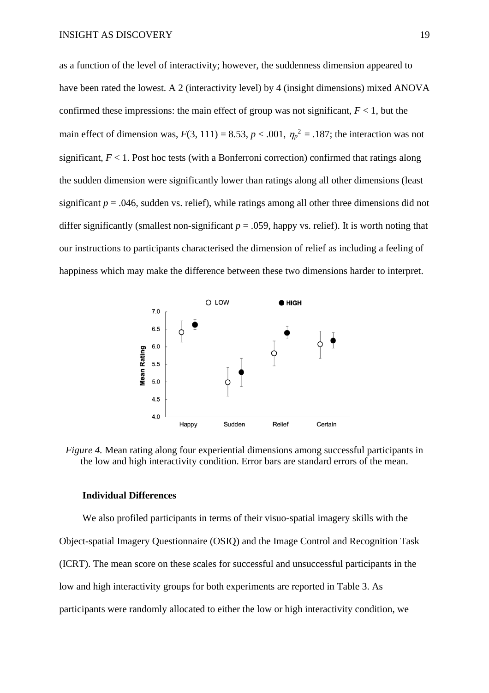as a function of the level of interactivity; however, the suddenness dimension appeared to have been rated the lowest. A 2 (interactivity level) by 4 (insight dimensions) mixed ANOVA confirmed these impressions: the main effect of group was not significant,  $F < 1$ , but the main effect of dimension was,  $F(3, 111) = 8.53$ ,  $p < .001$ ,  $\eta_p^2 = .187$ ; the interaction was not significant, *F* < 1. Post hoc tests (with a Bonferroni correction) confirmed that ratings along the sudden dimension were significantly lower than ratings along all other dimensions (least significant  $p = 0.046$ , sudden vs. relief), while ratings among all other three dimensions did not differ significantly (smallest non-significant  $p = .059$ , happy vs. relief). It is worth noting that our instructions to participants characterised the dimension of relief as including a feeling of happiness which may make the difference between these two dimensions harder to interpret.



*Figure 4.* Mean rating along four experiential dimensions among successful participants in the low and high interactivity condition. Error bars are standard errors of the mean.

### **Individual Differences**

We also profiled participants in terms of their visuo-spatial imagery skills with the Object-spatial Imagery Questionnaire (OSIQ) and the Image Control and Recognition Task (ICRT). The mean score on these scales for successful and unsuccessful participants in the low and high interactivity groups for both experiments are reported in Table 3. As participants were randomly allocated to either the low or high interactivity condition, we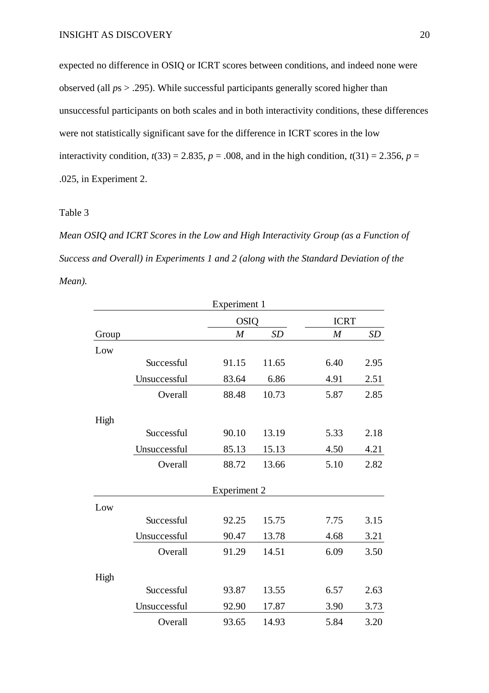expected no difference in OSIQ or ICRT scores between conditions, and indeed none were observed (all *p*s > .295). While successful participants generally scored higher than unsuccessful participants on both scales and in both interactivity conditions, these differences were not statistically significant save for the difference in ICRT scores in the low interactivity condition,  $t(33) = 2.835$ ,  $p = .008$ , and in the high condition,  $t(31) = 2.356$ ,  $p =$ .025, in Experiment 2.

# Table 3

*Mean OSIQ and ICRT Scores in the Low and High Interactivity Group (as a Function of Success and Overall) in Experiments 1 and 2 (along with the Standard Deviation of the Mean).*

|       |              | Experiment 1        |       |                |      |  |
|-------|--------------|---------------------|-------|----------------|------|--|
|       |              | <b>OSIQ</b>         |       | <b>ICRT</b>    |      |  |
| Group |              | $\boldsymbol{M}$    | SD    | $\overline{M}$ | SD   |  |
| Low   |              |                     |       |                |      |  |
|       | Successful   | 91.15               | 11.65 | 6.40           | 2.95 |  |
|       | Unsuccessful | 83.64               | 6.86  | 4.91           | 2.51 |  |
|       | Overall      | 88.48               | 10.73 | 5.87           | 2.85 |  |
| High  |              |                     |       |                |      |  |
|       | Successful   | 90.10               | 13.19 | 5.33           | 2.18 |  |
|       | Unsuccessful | 85.13               | 15.13 | 4.50           | 4.21 |  |
|       | Overall      | 88.72               | 13.66 | 5.10           | 2.82 |  |
|       |              | <b>Experiment 2</b> |       |                |      |  |
| Low   |              |                     |       |                |      |  |
|       | Successful   | 92.25               | 15.75 | 7.75           | 3.15 |  |
|       | Unsuccessful | 90.47               | 13.78 | 4.68           | 3.21 |  |
|       | Overall      | 91.29               | 14.51 | 6.09           | 3.50 |  |
| High  |              |                     |       |                |      |  |
|       | Successful   | 93.87               | 13.55 | 6.57           | 2.63 |  |
|       | Unsuccessful | 92.90               | 17.87 | 3.90           | 3.73 |  |
|       | Overall      | 93.65               | 14.93 | 5.84           | 3.20 |  |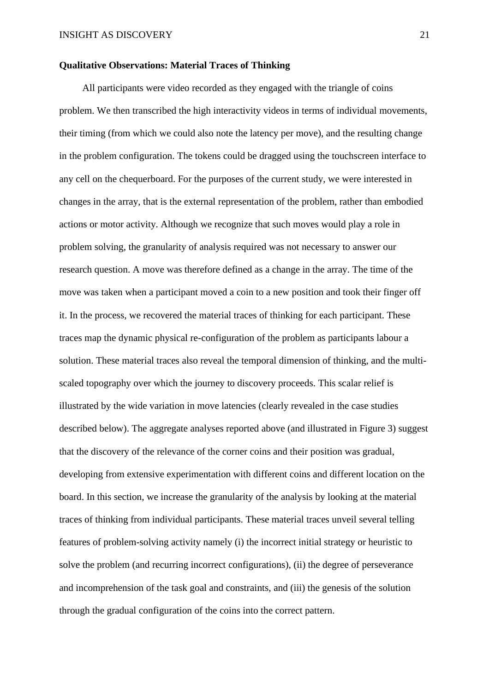### **Qualitative Observations: Material Traces of Thinking**

All participants were video recorded as they engaged with the triangle of coins problem. We then transcribed the high interactivity videos in terms of individual movements, their timing (from which we could also note the latency per move), and the resulting change in the problem configuration. The tokens could be dragged using the touchscreen interface to any cell on the chequerboard. For the purposes of the current study, we were interested in changes in the array, that is the external representation of the problem, rather than embodied actions or motor activity. Although we recognize that such moves would play a role in problem solving, the granularity of analysis required was not necessary to answer our research question. A move was therefore defined as a change in the array. The time of the move was taken when a participant moved a coin to a new position and took their finger off it. In the process, we recovered the material traces of thinking for each participant. These traces map the dynamic physical re-configuration of the problem as participants labour a solution. These material traces also reveal the temporal dimension of thinking, and the multiscaled topography over which the journey to discovery proceeds. This scalar relief is illustrated by the wide variation in move latencies (clearly revealed in the case studies described below). The aggregate analyses reported above (and illustrated in Figure 3) suggest that the discovery of the relevance of the corner coins and their position was gradual, developing from extensive experimentation with different coins and different location on the board. In this section, we increase the granularity of the analysis by looking at the material traces of thinking from individual participants. These material traces unveil several telling features of problem-solving activity namely (i) the incorrect initial strategy or heuristic to solve the problem (and recurring incorrect configurations), (ii) the degree of perseverance and incomprehension of the task goal and constraints, and (iii) the genesis of the solution through the gradual configuration of the coins into the correct pattern.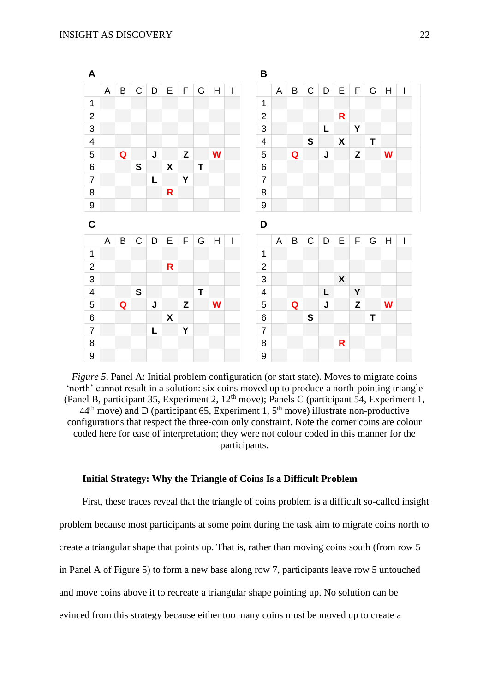

*Figure 5*. Panel A: Initial problem configuration (or start state). Moves to migrate coins 'north' cannot result in a solution: six coins moved up to produce a north-pointing triangle (Panel B, participant 35, Experiment 2, 12<sup>th</sup> move); Panels C (participant 54, Experiment 1,  $44<sup>th</sup>$  move) and D (participant 65, Experiment 1,  $5<sup>th</sup>$  move) illustrate non-productive configurations that respect the three-coin only constraint. Note the corner coins are colour coded here for ease of interpretation; they were not colour coded in this manner for the participants.

### **Initial Strategy: Why the Triangle of Coins Is a Difficult Problem**

First, these traces reveal that the triangle of coins problem is a difficult so-called insight problem because most participants at some point during the task aim to migrate coins north to create a triangular shape that points up. That is, rather than moving coins south (from row 5 in Panel A of Figure 5) to form a new base along row 7, participants leave row 5 untouched and move coins above it to recreate a triangular shape pointing up. No solution can be evinced from this strategy because either too many coins must be moved up to create a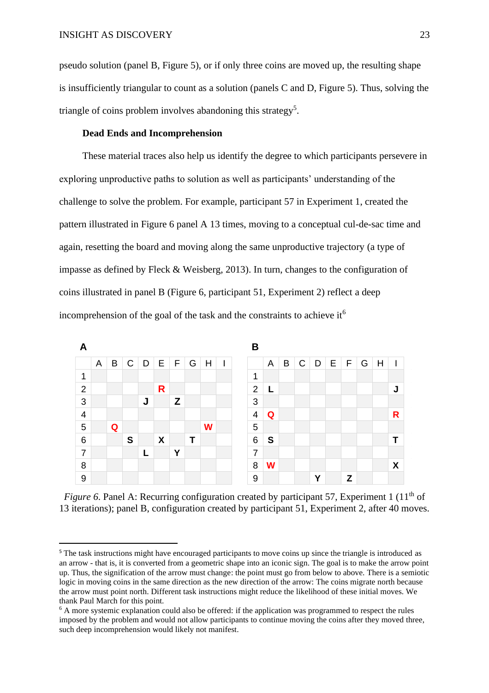pseudo solution (panel B, Figure 5), or if only three coins are moved up, the resulting shape is insufficiently triangular to count as a solution (panels C and D, Figure 5). Thus, solving the triangle of coins problem involves abandoning this strategy<sup>5</sup>.

# **Dead Ends and Incomprehension**

These material traces also help us identify the degree to which participants persevere in exploring unproductive paths to solution as well as participants' understanding of the challenge to solve the problem. For example, participant 57 in Experiment 1, created the pattern illustrated in Figure 6 panel A 13 times, moving to a conceptual cul-de-sac time and again, resetting the board and moving along the same unproductive trajectory (a type of impasse as defined by Fleck & Weisberg, 2013). In turn, changes to the configuration of coins illustrated in panel B (Figure 6, participant 51, Experiment 2) reflect a deep incomprehension of the goal of the task and the constraints to achieve it<sup>6</sup>



*Figure 6.* Panel A: Recurring configuration created by participant 57, Experiment 1 (11<sup>th</sup> of 13 iterations); panel B, configuration created by participant 51, Experiment 2, after 40 moves.

<sup>&</sup>lt;sup>5</sup> The task instructions might have encouraged participants to move coins up since the triangle is introduced as an arrow - that is, it is converted from a geometric shape into an iconic sign. The goal is to make the arrow point up. Thus, the signification of the arrow must change: the point must go from below to above. There is a semiotic logic in moving coins in the same direction as the new direction of the arrow: The coins migrate north because the arrow must point north. Different task instructions might reduce the likelihood of these initial moves. We thank Paul March for this point.

<sup>&</sup>lt;sup>6</sup> A more systemic explanation could also be offered: if the application was programmed to respect the rules imposed by the problem and would not allow participants to continue moving the coins after they moved three, such deep incomprehension would likely not manifest.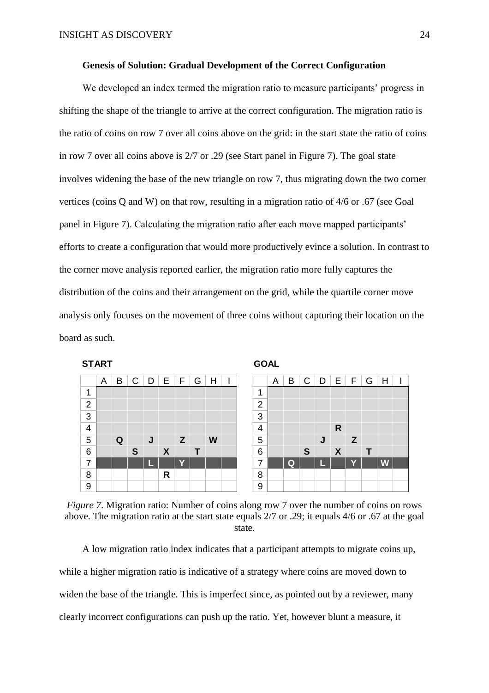### **Genesis of Solution: Gradual Development of the Correct Configuration**

We developed an index termed the migration ratio to measure participants' progress in shifting the shape of the triangle to arrive at the correct configuration. The migration ratio is the ratio of coins on row 7 over all coins above on the grid: in the start state the ratio of coins in row 7 over all coins above is 2/7 or .29 (see Start panel in Figure 7). The goal state involves widening the base of the new triangle on row 7, thus migrating down the two corner vertices (coins Q and W) on that row, resulting in a migration ratio of 4/6 or .67 (see Goal panel in Figure 7). Calculating the migration ratio after each move mapped participants' efforts to create a configuration that would more productively evince a solution. In contrast to the corner move analysis reported earlier, the migration ratio more fully captures the distribution of the coins and their arrangement on the grid, while the quartile corner move analysis only focuses on the movement of three coins without capturing their location on the board as such.











A low migration ratio index indicates that a participant attempts to migrate coins up, while a higher migration ratio is indicative of a strategy where coins are moved down to widen the base of the triangle. This is imperfect since, as pointed out by a reviewer, many clearly incorrect configurations can push up the ratio. Yet, however blunt a measure, it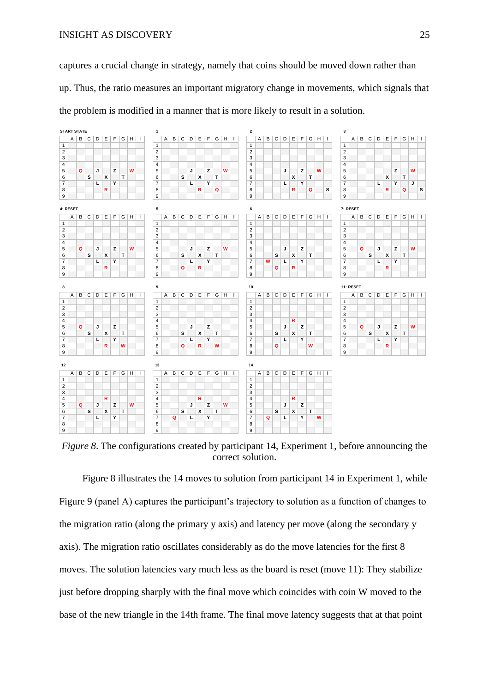captures a crucial change in strategy, namely that coins should be moved down rather than up. Thus, the ratio measures an important migratory change in movements, which signals that the problem is modified in a manner that is more likely to result in a solution.



*Figure 8*. The configurations created by participant 14, Experiment 1, before announcing the correct solution.

Figure 8 illustrates the 14 moves to solution from participant 14 in Experiment 1, while Figure 9 (panel A) captures the participant's trajectory to solution as a function of changes to the migration ratio (along the primary y axis) and latency per move (along the secondary y axis). The migration ratio oscillates considerably as do the move latencies for the first 8 moves. The solution latencies vary much less as the board is reset (move 11): They stabilize just before dropping sharply with the final move which coincides with coin W moved to the base of the new triangle in the 14th frame. The final move latency suggests that at that point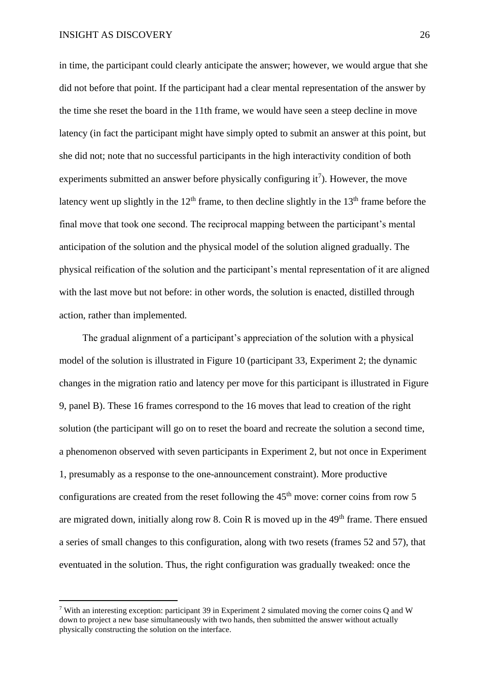in time, the participant could clearly anticipate the answer; however, we would argue that she did not before that point. If the participant had a clear mental representation of the answer by the time she reset the board in the 11th frame, we would have seen a steep decline in move latency (in fact the participant might have simply opted to submit an answer at this point, but she did not; note that no successful participants in the high interactivity condition of both experiments submitted an answer before physically configuring  $it^7$ ). However, the move latency went up slightly in the  $12<sup>th</sup>$  frame, to then decline slightly in the  $13<sup>th</sup>$  frame before the final move that took one second. The reciprocal mapping between the participant's mental anticipation of the solution and the physical model of the solution aligned gradually. The physical reification of the solution and the participant's mental representation of it are aligned with the last move but not before: in other words, the solution is enacted, distilled through action, rather than implemented.

The gradual alignment of a participant's appreciation of the solution with a physical model of the solution is illustrated in Figure 10 (participant 33, Experiment 2; the dynamic changes in the migration ratio and latency per move for this participant is illustrated in Figure 9, panel B). These 16 frames correspond to the 16 moves that lead to creation of the right solution (the participant will go on to reset the board and recreate the solution a second time, a phenomenon observed with seven participants in Experiment 2, but not once in Experiment 1, presumably as a response to the one-announcement constraint). More productive configurations are created from the reset following the  $45<sup>th</sup>$  move: corner coins from row 5 are migrated down, initially along row 8. Coin R is moved up in the  $49<sup>th</sup>$  frame. There ensued a series of small changes to this configuration, along with two resets (frames 52 and 57), that eventuated in the solution. Thus, the right configuration was gradually tweaked: once the

<sup>7</sup> With an interesting exception: participant 39 in Experiment 2 simulated moving the corner coins Q and W down to project a new base simultaneously with two hands, then submitted the answer without actually physically constructing the solution on the interface.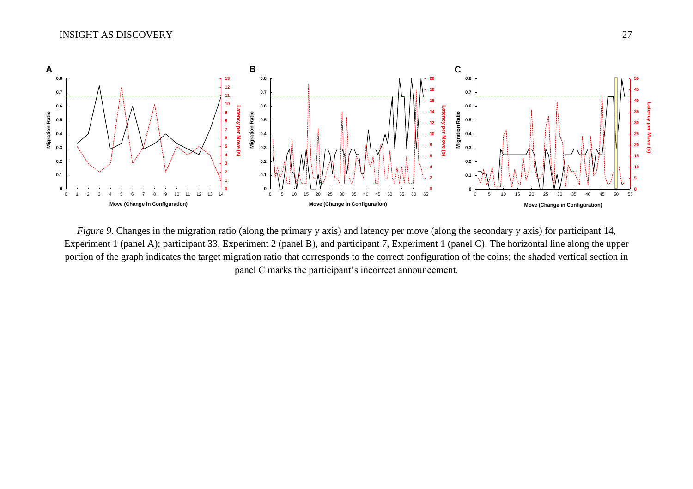

*Figure 9*. Changes in the migration ratio (along the primary y axis) and latency per move (along the secondary y axis) for participant 14, Experiment 1 (panel A); participant 33, Experiment 2 (panel B), and participant 7, Experiment 1 (panel C). The horizontal line along the upper portion of the graph indicates the target migration ratio that corresponds to the correct configuration of the coins; the shaded vertical section in panel C marks the participant's incorrect announcement.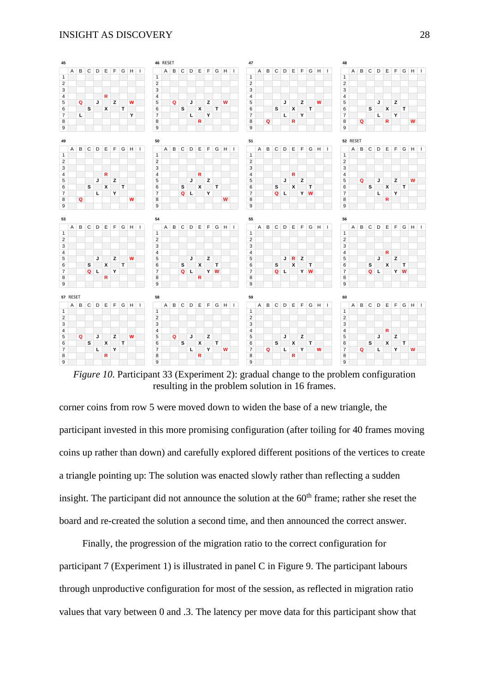#### INSIGHT AS DISCOVERY 28



*Figure 10.* Participant 33 (Experiment 2): gradual change to the problem configuration resulting in the problem solution in 16 frames.

corner coins from row 5 were moved down to widen the base of a new triangle, the participant invested in this more promising configuration (after toiling for 40 frames moving coins up rather than down) and carefully explored different positions of the vertices to create a triangle pointing up: The solution was enacted slowly rather than reflecting a sudden insight. The participant did not announce the solution at the 60<sup>th</sup> frame; rather she reset the board and re-created the solution a second time, and then announced the correct answer.

Finally, the progression of the migration ratio to the correct configuration for participant 7 (Experiment 1) is illustrated in panel C in Figure 9. The participant labours through unproductive configuration for most of the session, as reflected in migration ratio values that vary between 0 and .3. The latency per move data for this participant show that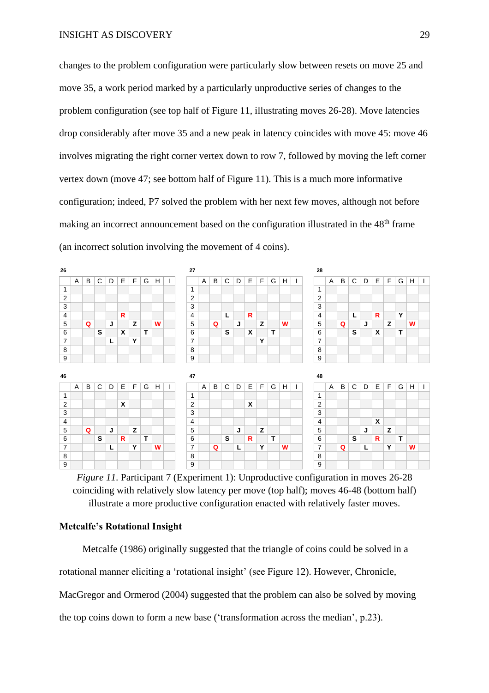changes to the problem configuration were particularly slow between resets on move 25 and move 35, a work period marked by a particularly unproductive series of changes to the problem configuration (see top half of Figure 11, illustrating moves 26-28). Move latencies drop considerably after move 35 and a new peak in latency coincides with move 45: move 46 involves migrating the right corner vertex down to row 7, followed by moving the left corner vertex down (move 47; see bottom half of Figure 11). This is a much more informative configuration; indeed, P7 solved the problem with her next few moves, although not before making an incorrect announcement based on the configuration illustrated in the 48<sup>th</sup> frame (an incorrect solution involving the movement of 4 coins).



*Figure 11*. Participant 7 (Experiment 1): Unproductive configuration in moves 26-28 coinciding with relatively slow latency per move (top half); moves 46-48 (bottom half) illustrate a more productive configuration enacted with relatively faster moves.

## **Metcalfe's Rotational Insight**

Metcalfe (1986) originally suggested that the triangle of coins could be solved in a rotational manner eliciting a 'rotational insight' (see Figure 12). However, Chronicle, MacGregor and Ormerod (2004) suggested that the problem can also be solved by moving the top coins down to form a new base ('transformation across the median', p.23).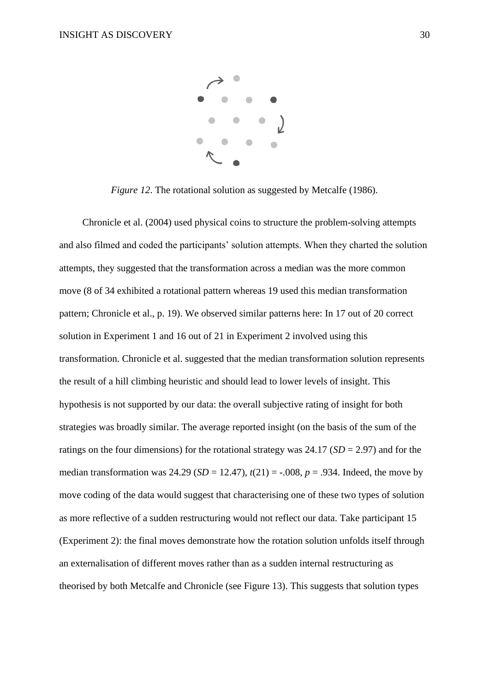

*Figure 12*. The rotational solution as suggested by Metcalfe (1986).

Chronicle et al. (2004) used physical coins to structure the problem-solving attempts and also filmed and coded the participants' solution attempts. When they charted the solution attempts, they suggested that the transformation across a median was the more common move (8 of 34 exhibited a rotational pattern whereas 19 used this median transformation pattern; Chronicle et al., p. 19). We observed similar patterns here: In 17 out of 20 correct solution in Experiment 1 and 16 out of 21 in Experiment 2 involved using this transformation. Chronicle et al. suggested that the median transformation solution represents the result of a hill climbing heuristic and should lead to lower levels of insight. This hypothesis is not supported by our data: the overall subjective rating of insight for both strategies was broadly similar. The average reported insight (on the basis of the sum of the ratings on the four dimensions) for the rotational strategy was 24.17 (*SD* = 2.97) and for the median transformation was  $24.29$  (*SD* = 12.47),  $t(21)$  = -.008,  $p = .934$ . Indeed, the move by move coding of the data would suggest that characterising one of these two types of solution as more reflective of a sudden restructuring would not reflect our data. Take participant 15 (Experiment 2): the final moves demonstrate how the rotation solution unfolds itself through an externalisation of different moves rather than as a sudden internal restructuring as theorised by both Metcalfe and Chronicle (see Figure 13). This suggests that solution types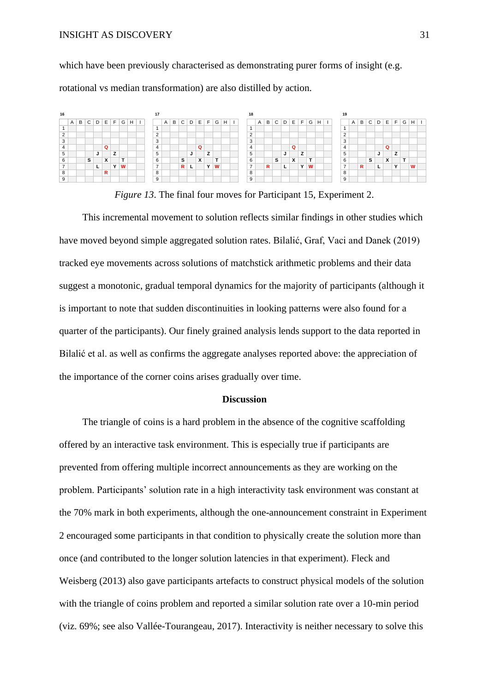### INSIGHT AS DISCOVERY 31

which have been previously characterised as demonstrating purer forms of insight (e.g. rotational vs median transformation) are also distilled by action.



*Figure 13*. The final four moves for Participant 15, Experiment 2.

This incremental movement to solution reflects similar findings in other studies which have moved beyond simple aggregated solution rates. Bilalić, Graf, Vaci and Danek (2019) tracked eye movements across solutions of matchstick arithmetic problems and their data suggest a monotonic, gradual temporal dynamics for the majority of participants (although it is important to note that sudden discontinuities in looking patterns were also found for a quarter of the participants). Our finely grained analysis lends support to the data reported in Bilalić et al. as well as confirms the aggregate analyses reported above: the appreciation of the importance of the corner coins arises gradually over time.

### **Discussion**

The triangle of coins is a hard problem in the absence of the cognitive scaffolding offered by an interactive task environment. This is especially true if participants are prevented from offering multiple incorrect announcements as they are working on the problem. Participants' solution rate in a high interactivity task environment was constant at the 70% mark in both experiments, although the one-announcement constraint in Experiment 2 encouraged some participants in that condition to physically create the solution more than once (and contributed to the longer solution latencies in that experiment). Fleck and Weisberg (2013) also gave participants artefacts to construct physical models of the solution with the triangle of coins problem and reported a similar solution rate over a 10-min period (viz. 69%; see also Vallée-Tourangeau, 2017). Interactivity is neither necessary to solve this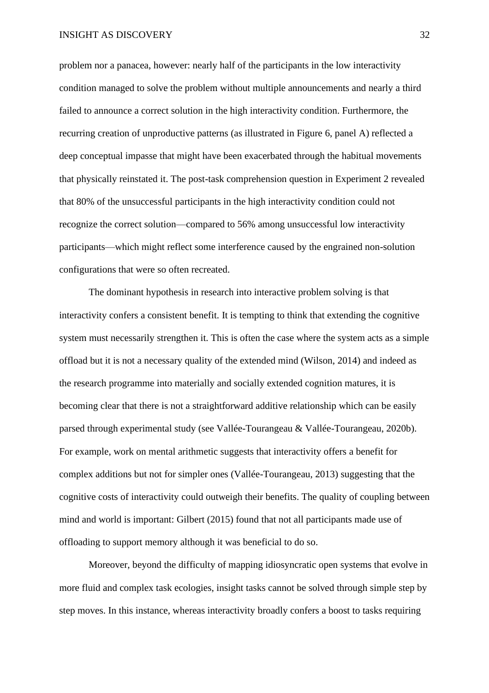problem nor a panacea, however: nearly half of the participants in the low interactivity condition managed to solve the problem without multiple announcements and nearly a third failed to announce a correct solution in the high interactivity condition. Furthermore, the recurring creation of unproductive patterns (as illustrated in Figure 6, panel A) reflected a deep conceptual impasse that might have been exacerbated through the habitual movements that physically reinstated it. The post-task comprehension question in Experiment 2 revealed that 80% of the unsuccessful participants in the high interactivity condition could not recognize the correct solution—compared to 56% among unsuccessful low interactivity participants—which might reflect some interference caused by the engrained non-solution configurations that were so often recreated.

The dominant hypothesis in research into interactive problem solving is that interactivity confers a consistent benefit. It is tempting to think that extending the cognitive system must necessarily strengthen it. This is often the case where the system acts as a simple offload but it is not a necessary quality of the extended mind (Wilson, 2014) and indeed as the research programme into materially and socially extended cognition matures, it is becoming clear that there is not a straightforward additive relationship which can be easily parsed through experimental study (see Vallée-Tourangeau & Vallée-Tourangeau, 2020b). For example, work on mental arithmetic suggests that interactivity offers a benefit for complex additions but not for simpler ones (Vallée-Tourangeau, 2013) suggesting that the cognitive costs of interactivity could outweigh their benefits. The quality of coupling between mind and world is important: Gilbert (2015) found that not all participants made use of offloading to support memory although it was beneficial to do so.

Moreover, beyond the difficulty of mapping idiosyncratic open systems that evolve in more fluid and complex task ecologies, insight tasks cannot be solved through simple step by step moves. In this instance, whereas interactivity broadly confers a boost to tasks requiring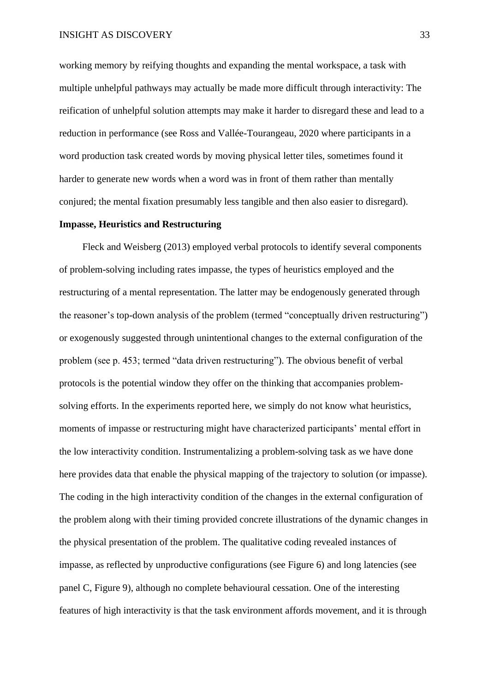working memory by reifying thoughts and expanding the mental workspace, a task with multiple unhelpful pathways may actually be made more difficult through interactivity: The reification of unhelpful solution attempts may make it harder to disregard these and lead to a reduction in performance (see Ross and Vallée-Tourangeau, 2020 where participants in a word production task created words by moving physical letter tiles, sometimes found it harder to generate new words when a word was in front of them rather than mentally conjured; the mental fixation presumably less tangible and then also easier to disregard).

### **Impasse, Heuristics and Restructuring**

Fleck and Weisberg (2013) employed verbal protocols to identify several components of problem-solving including rates impasse, the types of heuristics employed and the restructuring of a mental representation. The latter may be endogenously generated through the reasoner's top-down analysis of the problem (termed "conceptually driven restructuring") or exogenously suggested through unintentional changes to the external configuration of the problem (see p. 453; termed "data driven restructuring"). The obvious benefit of verbal protocols is the potential window they offer on the thinking that accompanies problemsolving efforts. In the experiments reported here, we simply do not know what heuristics, moments of impasse or restructuring might have characterized participants' mental effort in the low interactivity condition. Instrumentalizing a problem-solving task as we have done here provides data that enable the physical mapping of the trajectory to solution (or impasse). The coding in the high interactivity condition of the changes in the external configuration of the problem along with their timing provided concrete illustrations of the dynamic changes in the physical presentation of the problem. The qualitative coding revealed instances of impasse, as reflected by unproductive configurations (see Figure 6) and long latencies (see panel C, Figure 9), although no complete behavioural cessation. One of the interesting features of high interactivity is that the task environment affords movement, and it is through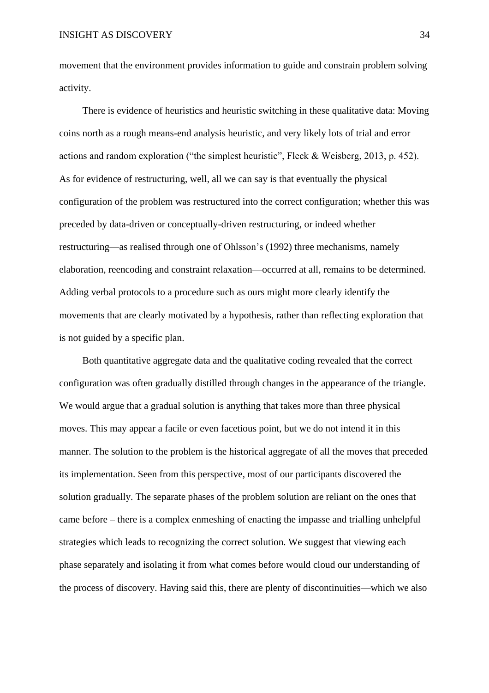movement that the environment provides information to guide and constrain problem solving activity.

There is evidence of heuristics and heuristic switching in these qualitative data: Moving coins north as a rough means-end analysis heuristic, and very likely lots of trial and error actions and random exploration ("the simplest heuristic", Fleck & Weisberg, 2013, p. 452). As for evidence of restructuring, well, all we can say is that eventually the physical configuration of the problem was restructured into the correct configuration; whether this was preceded by data-driven or conceptually-driven restructuring, or indeed whether restructuring—as realised through one of Ohlsson's (1992) three mechanisms, namely elaboration, reencoding and constraint relaxation—occurred at all, remains to be determined. Adding verbal protocols to a procedure such as ours might more clearly identify the movements that are clearly motivated by a hypothesis, rather than reflecting exploration that is not guided by a specific plan.

Both quantitative aggregate data and the qualitative coding revealed that the correct configuration was often gradually distilled through changes in the appearance of the triangle. We would argue that a gradual solution is anything that takes more than three physical moves. This may appear a facile or even facetious point, but we do not intend it in this manner. The solution to the problem is the historical aggregate of all the moves that preceded its implementation. Seen from this perspective, most of our participants discovered the solution gradually. The separate phases of the problem solution are reliant on the ones that came before – there is a complex enmeshing of enacting the impasse and trialling unhelpful strategies which leads to recognizing the correct solution. We suggest that viewing each phase separately and isolating it from what comes before would cloud our understanding of the process of discovery. Having said this, there are plenty of discontinuities—which we also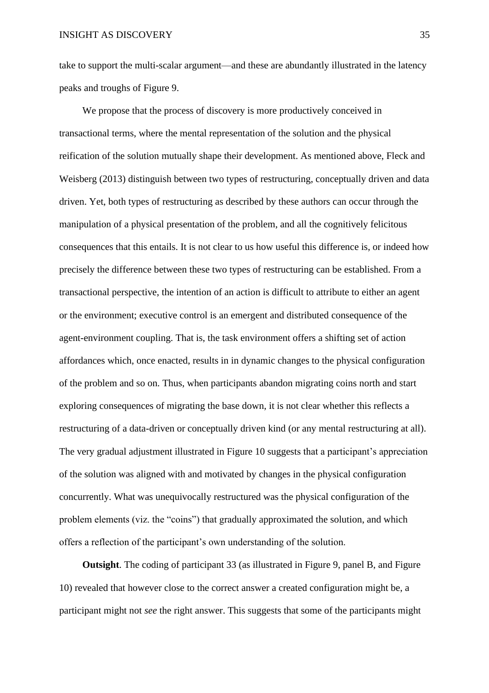take to support the multi-scalar argument—and these are abundantly illustrated in the latency peaks and troughs of Figure 9.

We propose that the process of discovery is more productively conceived in transactional terms, where the mental representation of the solution and the physical reification of the solution mutually shape their development. As mentioned above, Fleck and Weisberg (2013) distinguish between two types of restructuring, conceptually driven and data driven. Yet, both types of restructuring as described by these authors can occur through the manipulation of a physical presentation of the problem, and all the cognitively felicitous consequences that this entails. It is not clear to us how useful this difference is, or indeed how precisely the difference between these two types of restructuring can be established. From a transactional perspective, the intention of an action is difficult to attribute to either an agent or the environment; executive control is an emergent and distributed consequence of the agent-environment coupling. That is, the task environment offers a shifting set of action affordances which, once enacted, results in in dynamic changes to the physical configuration of the problem and so on. Thus, when participants abandon migrating coins north and start exploring consequences of migrating the base down, it is not clear whether this reflects a restructuring of a data-driven or conceptually driven kind (or any mental restructuring at all). The very gradual adjustment illustrated in Figure 10 suggests that a participant's appreciation of the solution was aligned with and motivated by changes in the physical configuration concurrently. What was unequivocally restructured was the physical configuration of the problem elements (viz. the "coins") that gradually approximated the solution, and which offers a reflection of the participant's own understanding of the solution.

**Outsight**. The coding of participant 33 (as illustrated in Figure 9, panel B, and Figure 10) revealed that however close to the correct answer a created configuration might be, a participant might not *see* the right answer. This suggests that some of the participants might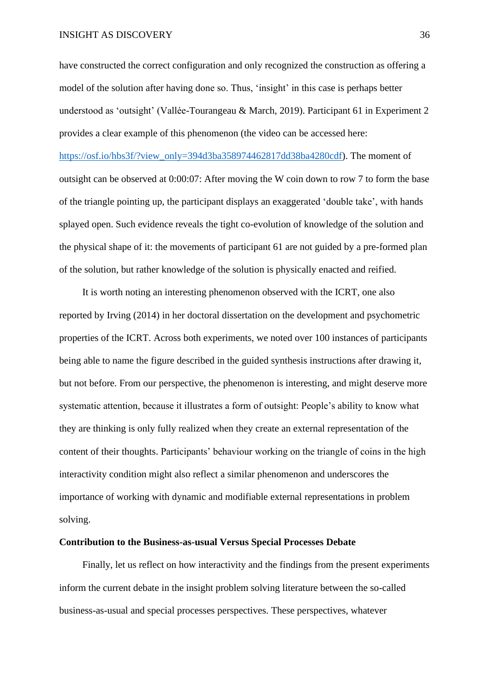have constructed the correct configuration and only recognized the construction as offering a model of the solution after having done so. Thus, 'insight' in this case is perhaps better understood as 'outsight' (Vallée-Tourangeau & March, 2019). Participant 61 in Experiment 2 provides a clear example of this phenomenon (the video can be accessed here:

[https://osf.io/hbs3f/?view\\_only=394d3ba358974462817dd38ba4280cdf\)](https://osf.io/hbs3f/?view_only=394d3ba358974462817dd38ba4280cdf). The moment of outsight can be observed at 0:00:07: After moving the W coin down to row 7 to form the base of the triangle pointing up, the participant displays an exaggerated 'double take', with hands splayed open. Such evidence reveals the tight co-evolution of knowledge of the solution and the physical shape of it: the movements of participant 61 are not guided by a pre-formed plan of the solution, but rather knowledge of the solution is physically enacted and reified.

It is worth noting an interesting phenomenon observed with the ICRT, one also reported by Irving (2014) in her doctoral dissertation on the development and psychometric properties of the ICRT. Across both experiments, we noted over 100 instances of participants being able to name the figure described in the guided synthesis instructions after drawing it, but not before. From our perspective, the phenomenon is interesting, and might deserve more systematic attention, because it illustrates a form of outsight: People's ability to know what they are thinking is only fully realized when they create an external representation of the content of their thoughts. Participants' behaviour working on the triangle of coins in the high interactivity condition might also reflect a similar phenomenon and underscores the importance of working with dynamic and modifiable external representations in problem solving.

### **Contribution to the Business-as-usual Versus Special Processes Debate**

Finally, let us reflect on how interactivity and the findings from the present experiments inform the current debate in the insight problem solving literature between the so-called business-as-usual and special processes perspectives. These perspectives, whatever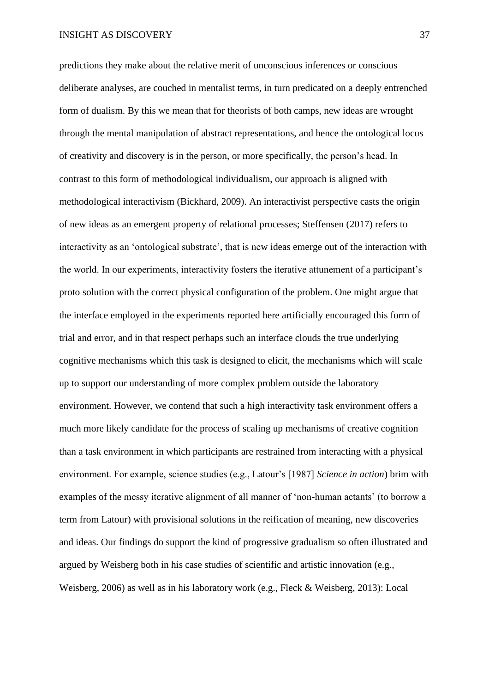predictions they make about the relative merit of unconscious inferences or conscious deliberate analyses, are couched in mentalist terms, in turn predicated on a deeply entrenched form of dualism. By this we mean that for theorists of both camps, new ideas are wrought through the mental manipulation of abstract representations, and hence the ontological locus of creativity and discovery is in the person, or more specifically, the person's head. In contrast to this form of methodological individualism, our approach is aligned with methodological interactivism (Bickhard, 2009). An interactivist perspective casts the origin of new ideas as an emergent property of relational processes; Steffensen (2017) refers to interactivity as an 'ontological substrate', that is new ideas emerge out of the interaction with the world. In our experiments, interactivity fosters the iterative attunement of a participant's proto solution with the correct physical configuration of the problem. One might argue that the interface employed in the experiments reported here artificially encouraged this form of trial and error, and in that respect perhaps such an interface clouds the true underlying cognitive mechanisms which this task is designed to elicit, the mechanisms which will scale up to support our understanding of more complex problem outside the laboratory environment. However, we contend that such a high interactivity task environment offers a much more likely candidate for the process of scaling up mechanisms of creative cognition than a task environment in which participants are restrained from interacting with a physical environment. For example, science studies (e.g., Latour's [1987] *Science in action*) brim with examples of the messy iterative alignment of all manner of 'non-human actants' (to borrow a term from Latour) with provisional solutions in the reification of meaning, new discoveries and ideas. Our findings do support the kind of progressive gradualism so often illustrated and argued by Weisberg both in his case studies of scientific and artistic innovation (e.g., Weisberg, 2006) as well as in his laboratory work (e.g., Fleck & Weisberg, 2013): Local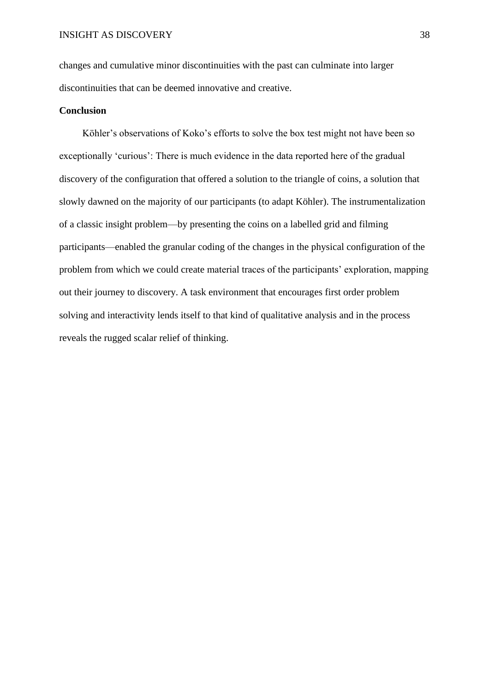changes and cumulative minor discontinuities with the past can culminate into larger discontinuities that can be deemed innovative and creative.

### **Conclusion**

Köhler's observations of Koko's efforts to solve the box test might not have been so exceptionally 'curious': There is much evidence in the data reported here of the gradual discovery of the configuration that offered a solution to the triangle of coins, a solution that slowly dawned on the majority of our participants (to adapt Köhler). The instrumentalization of a classic insight problem—by presenting the coins on a labelled grid and filming participants—enabled the granular coding of the changes in the physical configuration of the problem from which we could create material traces of the participants' exploration, mapping out their journey to discovery. A task environment that encourages first order problem solving and interactivity lends itself to that kind of qualitative analysis and in the process reveals the rugged scalar relief of thinking.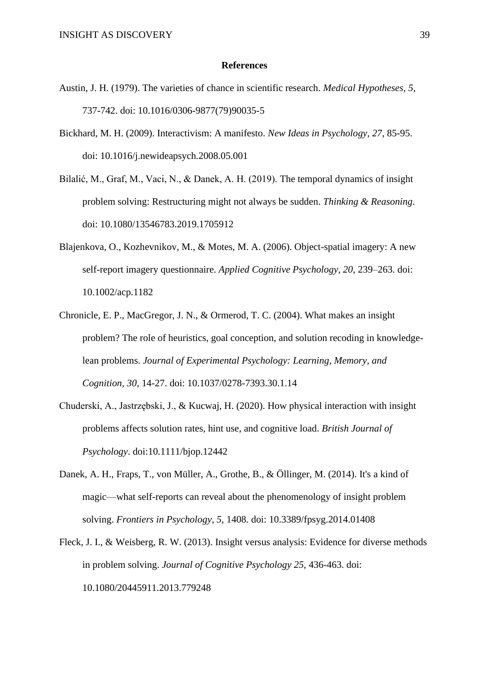### **References**

- Austin, J. H. (1979). The varieties of chance in scientific research. *Medical Hypotheses, 5*, 737-742. doi: 10.1016/0306-9877(79)90035-5
- Bickhard, M. H. (2009). Interactivism: A manifesto. *New Ideas in Psychology, 27*, 85-95. doi: 10.1016/j.newideapsych.2008.05.001
- Bilalić, M., Graf, M., Vaci, N., & Danek, A. H. (2019). The temporal dynamics of insight problem solving: Restructuring might not always be sudden. *Thinking & Reasoning*. doi: 10.1080/13546783.2019.1705912
- Blajenkova, O., Kozhevnikov, M., & Motes, M. A. (2006). Object-spatial imagery: A new self-report imagery questionnaire. *Applied Cognitive Psychology, 20*, 239–263. doi: 10.1002/acp.1182
- Chronicle, E. P., MacGregor, J. N., & Ormerod, T. C. (2004). What makes an insight problem? The role of heuristics, goal conception, and solution recoding in knowledgelean problems. *Journal of Experimental Psychology: Learning, Memory, and Cognition, 30*, 14-27. doi: 10.1037/0278-7393.30.1.14
- Chuderski, A., Jastrzębski, J., & Kucwaj, H. (2020). How physical interaction with insight problems affects solution rates, hint use, and cognitive load. *British Journal of Psychology*. doi:10.1111/bjop.12442
- Danek, A. H., Fraps, T., von Müller, A., Grothe, B., & Öllinger, M. (2014). It's a kind of magic—what self-reports can reveal about the phenomenology of insight problem solving. *Frontiers in Psychology*, *5*, 1408. doi: 10.3389/fpsyg.2014.01408
- Fleck, J. I., & Weisberg, R. W. (2013). Insight versus analysis: Evidence for diverse methods in problem solving. *Journal of Cognitive Psychology 25,* 436-463. doi: 10.1080/20445911.2013.779248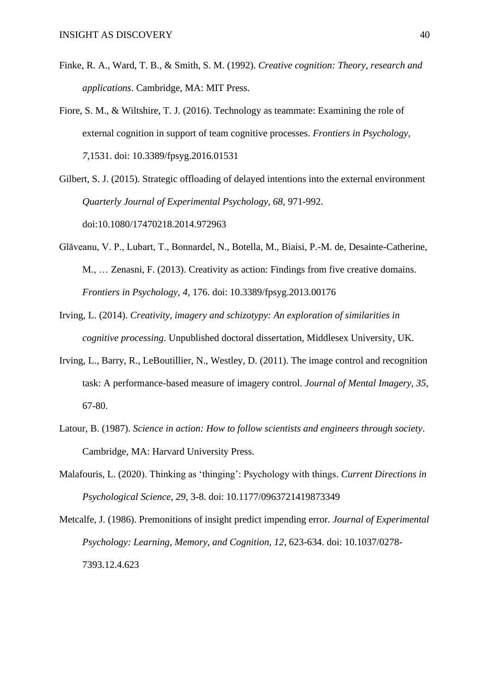- Finke, R. A., Ward, T. B., & Smith, S. M. (1992). *Creative cognition: Theory, research and applications*. Cambridge, MA: MIT Press.
- Fiore, S. M., & Wiltshire, T. J. (2016). Technology as teammate: Examining the role of external cognition in support of team cognitive processes. *Frontiers in Psychology, 7*,1531. doi: 10.3389/fpsyg.2016.01531
- Gilbert, S. J. (2015). Strategic offloading of delayed intentions into the external environment *Quarterly Journal of Experimental Psychology, 68,* 971-992. doi:10.1080/17470218.2014.972963
- Glăveanu, V. P., Lubart, T., Bonnardel, N., Botella, M., Biaisi, P.-M. de, Desainte-Catherine, M., … Zenasni, F. (2013). Creativity as action: Findings from five creative domains. *Frontiers in Psychology, 4*, 176. doi: 10.3389/fpsyg.2013.00176
- Irving, L. (2014). *Creativity, imagery and schizotypy: An exploration of similarities in cognitive processing*. Unpublished doctoral dissertation, Middlesex University, UK.
- Irving, L., Barry, R., LeBoutillier, N., Westley, D. (2011). The image control and recognition task: A performance-based measure of imagery control. *Journal of Mental Imagery, 35*, 67-80.
- Latour, B. (1987). *Science in action: How to follow scientists and engineers through society*. Cambridge, MA: Harvard University Press.
- Malafouris, L. (2020). Thinking as 'thinging': Psychology with things. *Current Directions in Psychological Science*, *29*, 3-8. doi: 10.1177/0963721419873349
- Metcalfe, J. (1986). Premonitions of insight predict impending error. *Journal of Experimental Psychology: Learning, Memory, and Cognition, 12*, 623-634. doi: 10.1037/0278- 7393.12.4.623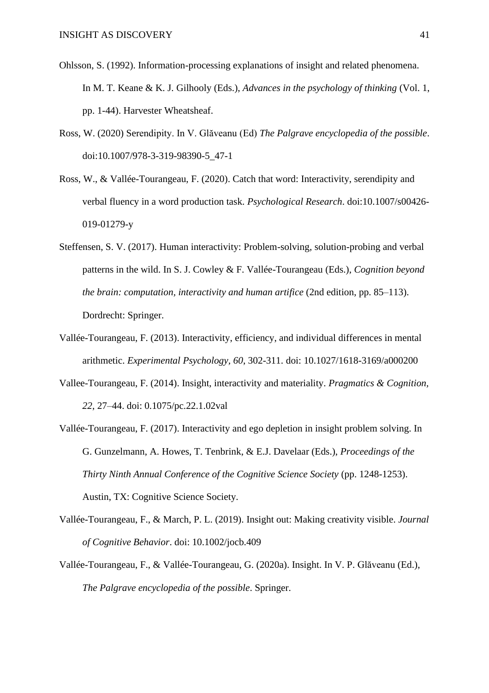- Ohlsson, S. (1992). Information-processing explanations of insight and related phenomena. In M. T. Keane & K. J. Gilhooly (Eds.), *Advances in the psychology of thinking* (Vol. 1, pp. 1-44). Harvester Wheatsheaf.
- Ross, W. (2020) Serendipity. In V. Glăveanu (Ed) *The Palgrave encyclopedia of the possible*. doi:10.1007/978-3-319-98390-5\_47-1
- Ross, W., & Vallée-Tourangeau, F. (2020). Catch that word: Interactivity, serendipity and verbal fluency in a word production task. *Psychological Research*. doi:10.1007/s00426- 019-01279-y
- Steffensen, S. V. (2017). Human interactivity: Problem-solving, solution-probing and verbal patterns in the wild. In S. J. Cowley & F. Vallée-Tourangeau (Eds.), *Cognition beyond the brain: computation, interactivity and human artifice* (2nd edition, pp. 85–113). Dordrecht: Springer.
- Vallée-Tourangeau, F. (2013). Interactivity, efficiency, and individual differences in mental arithmetic. *Experimental Psychology, 60*, 302-311. doi: 10.1027/1618-3169/a000200
- Vallee-Tourangeau, F. (2014). Insight, interactivity and materiality. *Pragmatics & Cognition, 22*, 27–44. doi: 0.1075/pc.22.1.02val
- Vallée-Tourangeau, F. (2017). Interactivity and ego depletion in insight problem solving. In G. Gunzelmann, A. Howes, T. Tenbrink, & E.J. Davelaar (Eds.), *Proceedings of the Thirty Ninth Annual Conference of the Cognitive Science Society* (pp. 1248-1253). Austin, TX: Cognitive Science Society.
- Vallée-Tourangeau, F., & March, P. L. (2019). Insight out: Making creativity visible. *Journal of Cognitive Behavior*. doi: 10.1002/jocb.409
- Vallée-Tourangeau, F., & Vallée-Tourangeau, G. (2020a). Insight. In V. P. Glăveanu (Ed.), *The Palgrave encyclopedia of the possible*. Springer.